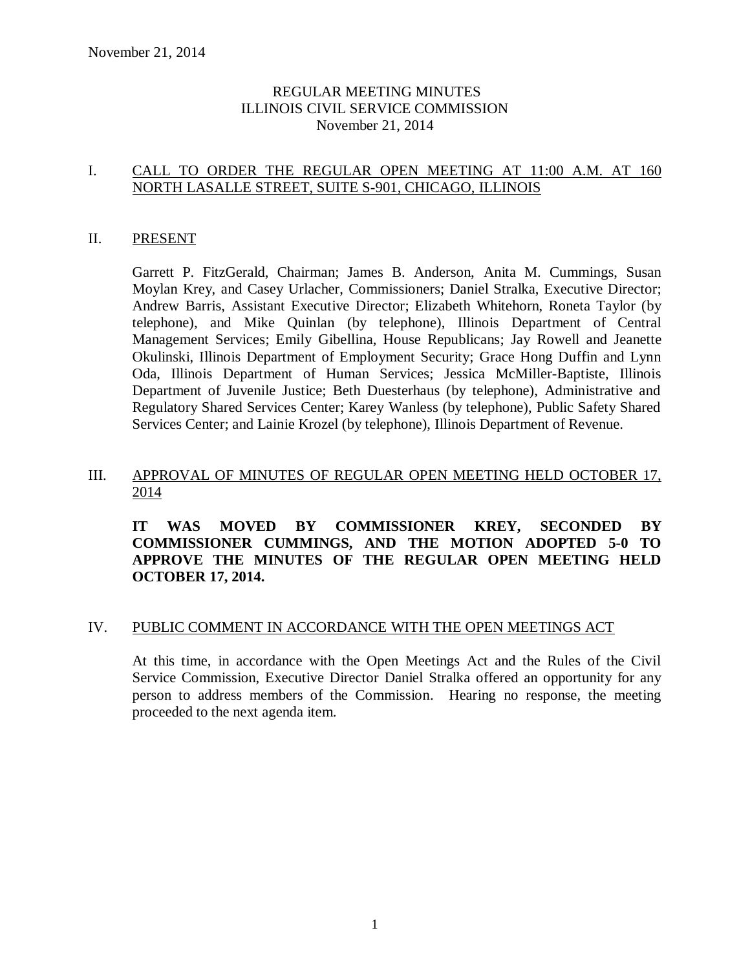### REGULAR MEETING MINUTES ILLINOIS CIVIL SERVICE COMMISSION November 21, 2014

### I. CALL TO ORDER THE REGULAR OPEN MEETING AT 11:00 A.M. AT 160 NORTH LASALLE STREET, SUITE S-901, CHICAGO, ILLINOIS

#### II. PRESENT

Garrett P. FitzGerald, Chairman; James B. Anderson, Anita M. Cummings, Susan Moylan Krey, and Casey Urlacher, Commissioners; Daniel Stralka, Executive Director; Andrew Barris, Assistant Executive Director; Elizabeth Whitehorn, Roneta Taylor (by telephone), and Mike Quinlan (by telephone), Illinois Department of Central Management Services; Emily Gibellina, House Republicans; Jay Rowell and Jeanette Okulinski, Illinois Department of Employment Security; Grace Hong Duffin and Lynn Oda, Illinois Department of Human Services; Jessica McMiller-Baptiste, Illinois Department of Juvenile Justice; Beth Duesterhaus (by telephone), Administrative and Regulatory Shared Services Center; Karey Wanless (by telephone), Public Safety Shared Services Center; and Lainie Krozel (by telephone), Illinois Department of Revenue.

### III. APPROVAL OF MINUTES OF REGULAR OPEN MEETING HELD OCTOBER 17, 2014

**IT WAS MOVED BY COMMISSIONER KREY, SECONDED BY COMMISSIONER CUMMINGS, AND THE MOTION ADOPTED 5-0 TO APPROVE THE MINUTES OF THE REGULAR OPEN MEETING HELD OCTOBER 17, 2014.** 

#### IV. PUBLIC COMMENT IN ACCORDANCE WITH THE OPEN MEETINGS ACT

At this time, in accordance with the Open Meetings Act and the Rules of the Civil Service Commission, Executive Director Daniel Stralka offered an opportunity for any person to address members of the Commission. Hearing no response, the meeting proceeded to the next agenda item.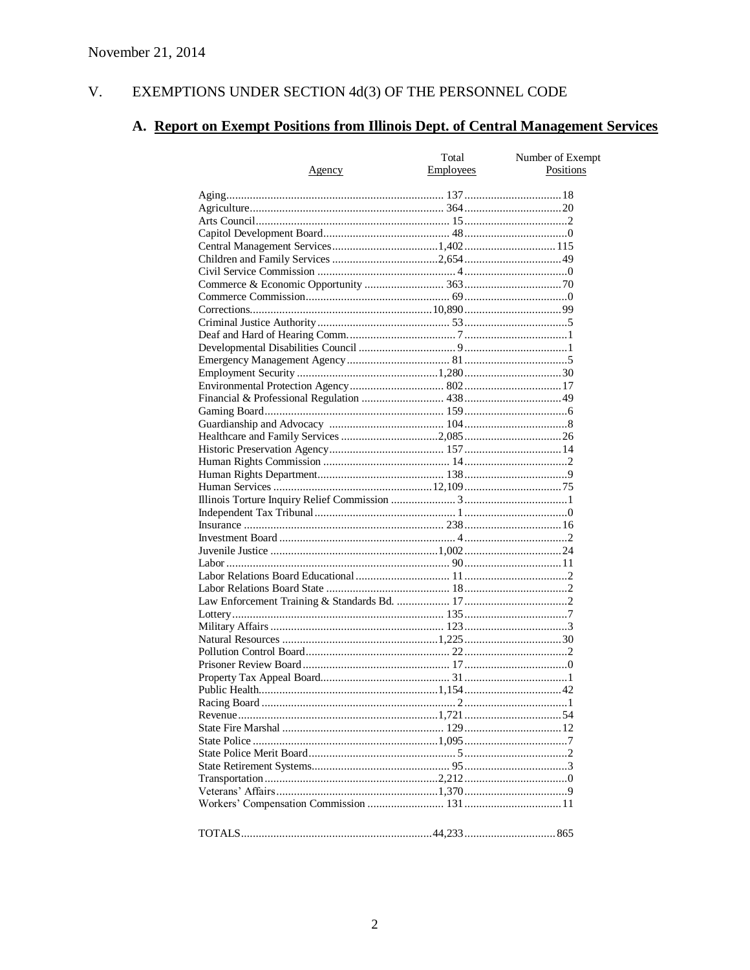#### V. EXEMPTIONS UNDER SECTION 4d(3) OF THE PERSONNEL CODE

# A. Report on Exempt Positions from Illinois Dept. of Central Management Services

|        | Total     | Number of Exempt |
|--------|-----------|------------------|
| Agency | Employees | Positions        |
|        |           |                  |
|        |           |                  |
|        |           |                  |
|        |           |                  |
|        |           |                  |
|        |           |                  |
|        |           |                  |
|        |           |                  |
|        |           |                  |
|        |           |                  |
|        |           |                  |
|        |           |                  |
|        |           |                  |
|        |           |                  |
|        |           |                  |
|        |           |                  |
|        |           |                  |
|        |           |                  |
|        |           |                  |
|        |           |                  |
|        |           |                  |
|        |           |                  |
|        |           |                  |
|        |           |                  |
|        |           |                  |
|        |           |                  |
|        |           |                  |
|        |           |                  |
|        |           |                  |
|        |           |                  |
|        |           |                  |
|        |           |                  |
|        |           |                  |
|        |           |                  |
|        |           |                  |
|        |           |                  |
|        |           |                  |
|        |           |                  |
|        |           |                  |
|        |           |                  |
|        |           |                  |
|        |           |                  |
|        |           |                  |
|        |           |                  |
|        |           |                  |
|        |           |                  |
|        |           |                  |
|        |           |                  |
|        |           |                  |
|        |           |                  |
|        |           |                  |
|        |           |                  |
|        |           |                  |
|        |           |                  |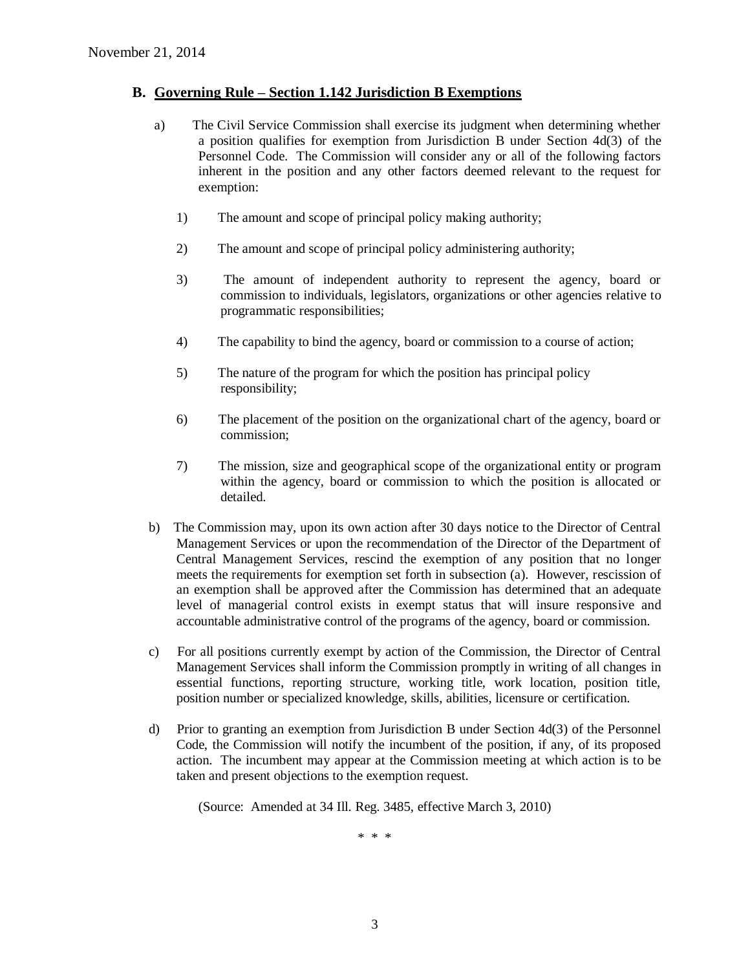#### **B. Governing Rule – Section 1.142 Jurisdiction B Exemptions**

- a) The Civil Service Commission shall exercise its judgment when determining whether a position qualifies for exemption from Jurisdiction B under Section 4d(3) of the Personnel Code. The Commission will consider any or all of the following factors inherent in the position and any other factors deemed relevant to the request for exemption:
	- 1) The amount and scope of principal policy making authority;
	- 2) The amount and scope of principal policy administering authority;
	- 3) The amount of independent authority to represent the agency, board or commission to individuals, legislators, organizations or other agencies relative to programmatic responsibilities;
	- 4) The capability to bind the agency, board or commission to a course of action;
	- 5) The nature of the program for which the position has principal policy responsibility;
	- 6) The placement of the position on the organizational chart of the agency, board or commission;
	- 7) The mission, size and geographical scope of the organizational entity or program within the agency, board or commission to which the position is allocated or detailed.
- b) The Commission may, upon its own action after 30 days notice to the Director of Central Management Services or upon the recommendation of the Director of the Department of Central Management Services, rescind the exemption of any position that no longer meets the requirements for exemption set forth in subsection (a). However, rescission of an exemption shall be approved after the Commission has determined that an adequate level of managerial control exists in exempt status that will insure responsive and accountable administrative control of the programs of the agency, board or commission.
- c) For all positions currently exempt by action of the Commission, the Director of Central Management Services shall inform the Commission promptly in writing of all changes in essential functions, reporting structure, working title, work location, position title, position number or specialized knowledge, skills, abilities, licensure or certification.
- d) Prior to granting an exemption from Jurisdiction B under Section 4d(3) of the Personnel Code, the Commission will notify the incumbent of the position, if any, of its proposed action. The incumbent may appear at the Commission meeting at which action is to be taken and present objections to the exemption request.

(Source: Amended at 34 Ill. Reg. 3485, effective March 3, 2010)

\* \* \*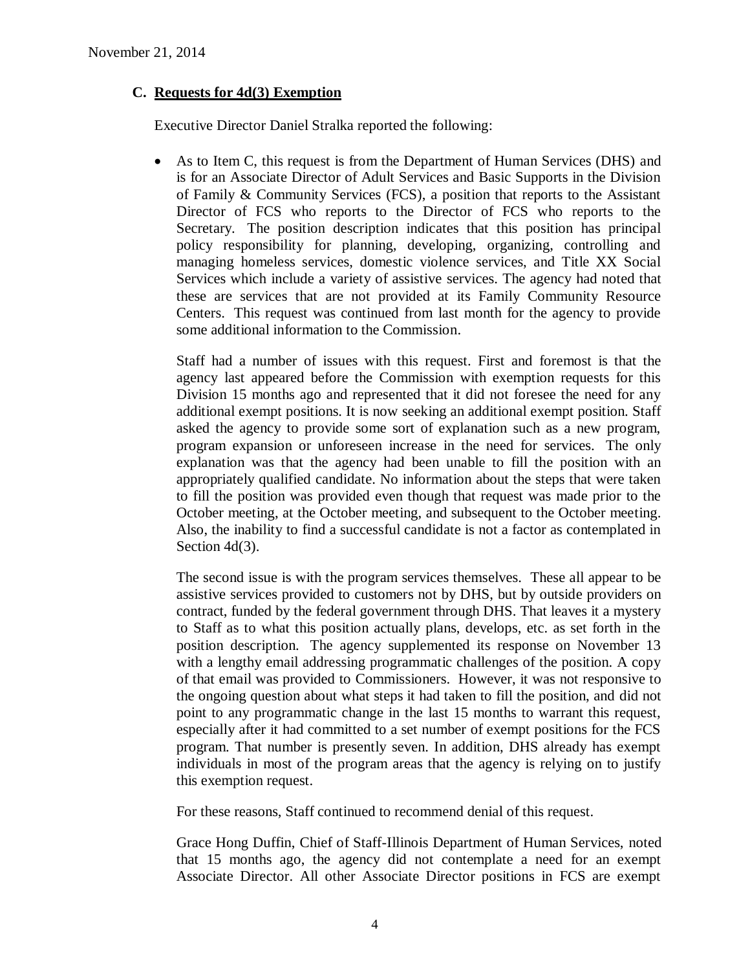### **C. Requests for 4d(3) Exemption**

Executive Director Daniel Stralka reported the following:

 As to Item C, this request is from the Department of Human Services (DHS) and is for an Associate Director of Adult Services and Basic Supports in the Division of Family & Community Services (FCS), a position that reports to the Assistant Director of FCS who reports to the Director of FCS who reports to the Secretary. The position description indicates that this position has principal policy responsibility for planning, developing, organizing, controlling and managing homeless services, domestic violence services, and Title XX Social Services which include a variety of assistive services. The agency had noted that these are services that are not provided at its Family Community Resource Centers. This request was continued from last month for the agency to provide some additional information to the Commission.

Staff had a number of issues with this request. First and foremost is that the agency last appeared before the Commission with exemption requests for this Division 15 months ago and represented that it did not foresee the need for any additional exempt positions. It is now seeking an additional exempt position. Staff asked the agency to provide some sort of explanation such as a new program, program expansion or unforeseen increase in the need for services. The only explanation was that the agency had been unable to fill the position with an appropriately qualified candidate. No information about the steps that were taken to fill the position was provided even though that request was made prior to the October meeting, at the October meeting, and subsequent to the October meeting. Also, the inability to find a successful candidate is not a factor as contemplated in Section 4d(3).

The second issue is with the program services themselves. These all appear to be assistive services provided to customers not by DHS, but by outside providers on contract, funded by the federal government through DHS. That leaves it a mystery to Staff as to what this position actually plans, develops, etc. as set forth in the position description. The agency supplemented its response on November 13 with a lengthy email addressing programmatic challenges of the position. A copy of that email was provided to Commissioners. However, it was not responsive to the ongoing question about what steps it had taken to fill the position, and did not point to any programmatic change in the last 15 months to warrant this request, especially after it had committed to a set number of exempt positions for the FCS program. That number is presently seven. In addition, DHS already has exempt individuals in most of the program areas that the agency is relying on to justify this exemption request.

For these reasons, Staff continued to recommend denial of this request.

Grace Hong Duffin, Chief of Staff-Illinois Department of Human Services, noted that 15 months ago, the agency did not contemplate a need for an exempt Associate Director. All other Associate Director positions in FCS are exempt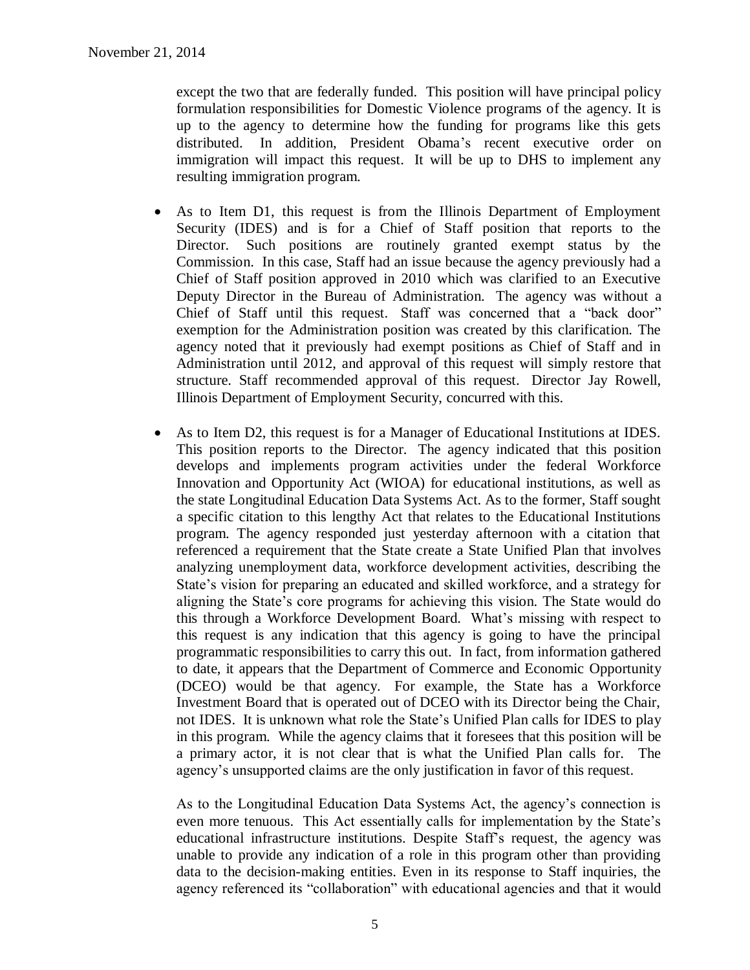except the two that are federally funded. This position will have principal policy formulation responsibilities for Domestic Violence programs of the agency. It is up to the agency to determine how the funding for programs like this gets distributed. In addition, President Obama's recent executive order on immigration will impact this request. It will be up to DHS to implement any resulting immigration program.

- As to Item D1, this request is from the Illinois Department of Employment Security (IDES) and is for a Chief of Staff position that reports to the Director. Such positions are routinely granted exempt status by the Commission. In this case, Staff had an issue because the agency previously had a Chief of Staff position approved in 2010 which was clarified to an Executive Deputy Director in the Bureau of Administration. The agency was without a Chief of Staff until this request. Staff was concerned that a "back door" exemption for the Administration position was created by this clarification. The agency noted that it previously had exempt positions as Chief of Staff and in Administration until 2012, and approval of this request will simply restore that structure. Staff recommended approval of this request. Director Jay Rowell, Illinois Department of Employment Security, concurred with this.
- As to Item D2, this request is for a Manager of Educational Institutions at IDES. This position reports to the Director. The agency indicated that this position develops and implements program activities under the federal Workforce Innovation and Opportunity Act (WIOA) for educational institutions, as well as the state Longitudinal Education Data Systems Act. As to the former, Staff sought a specific citation to this lengthy Act that relates to the Educational Institutions program. The agency responded just yesterday afternoon with a citation that referenced a requirement that the State create a State Unified Plan that involves analyzing unemployment data, workforce development activities, describing the State's vision for preparing an educated and skilled workforce, and a strategy for aligning the State's core programs for achieving this vision. The State would do this through a Workforce Development Board. What's missing with respect to this request is any indication that this agency is going to have the principal programmatic responsibilities to carry this out. In fact, from information gathered to date, it appears that the Department of Commerce and Economic Opportunity (DCEO) would be that agency. For example, the State has a Workforce Investment Board that is operated out of DCEO with its Director being the Chair, not IDES. It is unknown what role the State's Unified Plan calls for IDES to play in this program. While the agency claims that it foresees that this position will be a primary actor, it is not clear that is what the Unified Plan calls for. The agency's unsupported claims are the only justification in favor of this request.

As to the Longitudinal Education Data Systems Act, the agency's connection is even more tenuous. This Act essentially calls for implementation by the State's educational infrastructure institutions. Despite Staff's request, the agency was unable to provide any indication of a role in this program other than providing data to the decision-making entities. Even in its response to Staff inquiries, the agency referenced its "collaboration" with educational agencies and that it would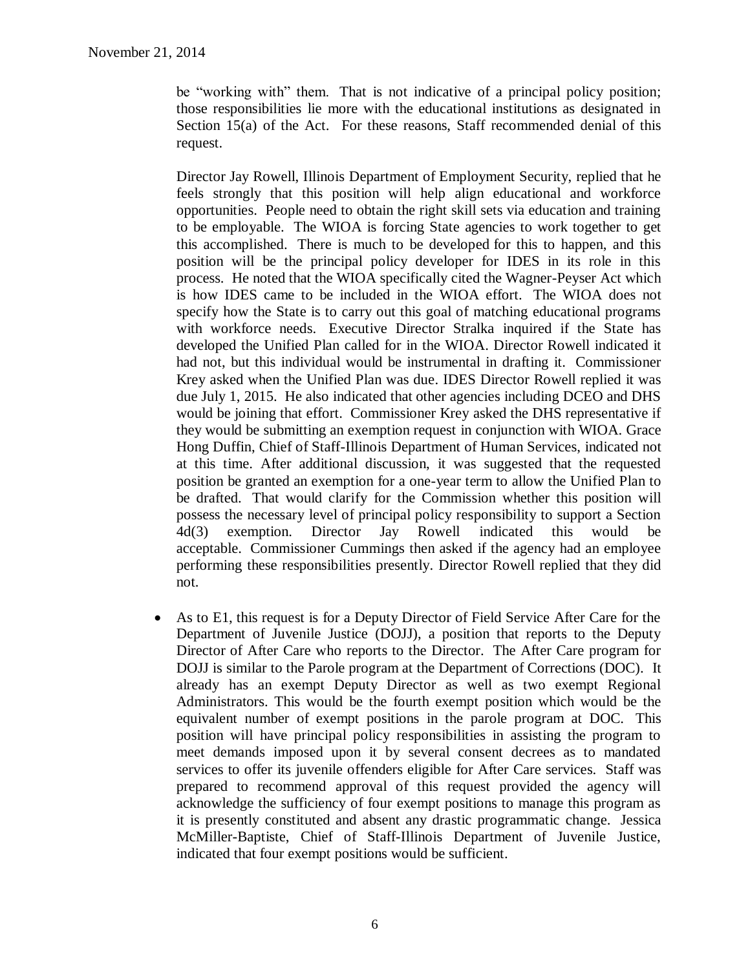be "working with" them. That is not indicative of a principal policy position; those responsibilities lie more with the educational institutions as designated in Section 15(a) of the Act. For these reasons, Staff recommended denial of this request.

Director Jay Rowell, Illinois Department of Employment Security, replied that he feels strongly that this position will help align educational and workforce opportunities. People need to obtain the right skill sets via education and training to be employable. The WIOA is forcing State agencies to work together to get this accomplished. There is much to be developed for this to happen, and this position will be the principal policy developer for IDES in its role in this process. He noted that the WIOA specifically cited the Wagner-Peyser Act which is how IDES came to be included in the WIOA effort. The WIOA does not specify how the State is to carry out this goal of matching educational programs with workforce needs. Executive Director Stralka inquired if the State has developed the Unified Plan called for in the WIOA. Director Rowell indicated it had not, but this individual would be instrumental in drafting it. Commissioner Krey asked when the Unified Plan was due. IDES Director Rowell replied it was due July 1, 2015. He also indicated that other agencies including DCEO and DHS would be joining that effort. Commissioner Krey asked the DHS representative if they would be submitting an exemption request in conjunction with WIOA. Grace Hong Duffin, Chief of Staff-Illinois Department of Human Services, indicated not at this time. After additional discussion, it was suggested that the requested position be granted an exemption for a one-year term to allow the Unified Plan to be drafted. That would clarify for the Commission whether this position will possess the necessary level of principal policy responsibility to support a Section 4d(3) exemption. Director Jay Rowell indicated this would be acceptable. Commissioner Cummings then asked if the agency had an employee performing these responsibilities presently. Director Rowell replied that they did not.

 As to E1, this request is for a Deputy Director of Field Service After Care for the Department of Juvenile Justice (DOJJ), a position that reports to the Deputy Director of After Care who reports to the Director. The After Care program for DOJJ is similar to the Parole program at the Department of Corrections (DOC). It already has an exempt Deputy Director as well as two exempt Regional Administrators. This would be the fourth exempt position which would be the equivalent number of exempt positions in the parole program at DOC. This position will have principal policy responsibilities in assisting the program to meet demands imposed upon it by several consent decrees as to mandated services to offer its juvenile offenders eligible for After Care services. Staff was prepared to recommend approval of this request provided the agency will acknowledge the sufficiency of four exempt positions to manage this program as it is presently constituted and absent any drastic programmatic change. Jessica McMiller-Baptiste, Chief of Staff-Illinois Department of Juvenile Justice, indicated that four exempt positions would be sufficient.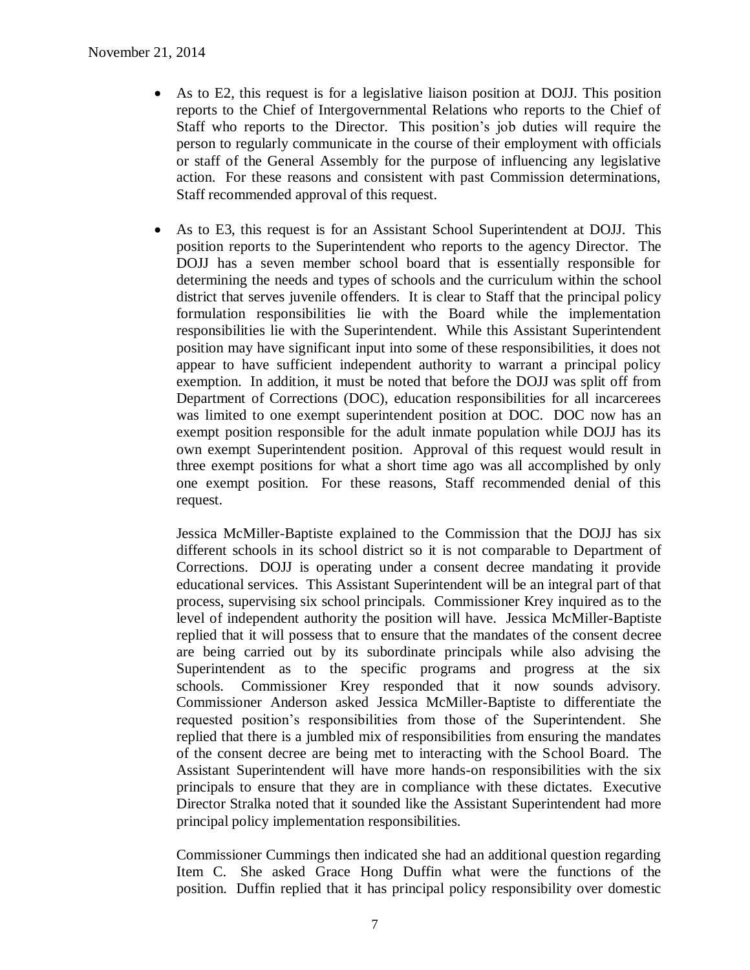- As to E2, this request is for a legislative liaison position at DOJJ. This position reports to the Chief of Intergovernmental Relations who reports to the Chief of Staff who reports to the Director. This position's job duties will require the person to regularly communicate in the course of their employment with officials or staff of the General Assembly for the purpose of influencing any legislative action. For these reasons and consistent with past Commission determinations, Staff recommended approval of this request.
- As to E3, this request is for an Assistant School Superintendent at DOJJ. This position reports to the Superintendent who reports to the agency Director. The DOJJ has a seven member school board that is essentially responsible for determining the needs and types of schools and the curriculum within the school district that serves juvenile offenders. It is clear to Staff that the principal policy formulation responsibilities lie with the Board while the implementation responsibilities lie with the Superintendent. While this Assistant Superintendent position may have significant input into some of these responsibilities, it does not appear to have sufficient independent authority to warrant a principal policy exemption. In addition, it must be noted that before the DOJJ was split off from Department of Corrections (DOC), education responsibilities for all incarcerees was limited to one exempt superintendent position at DOC. DOC now has an exempt position responsible for the adult inmate population while DOJJ has its own exempt Superintendent position. Approval of this request would result in three exempt positions for what a short time ago was all accomplished by only one exempt position. For these reasons, Staff recommended denial of this request.

Jessica McMiller-Baptiste explained to the Commission that the DOJJ has six different schools in its school district so it is not comparable to Department of Corrections. DOJJ is operating under a consent decree mandating it provide educational services. This Assistant Superintendent will be an integral part of that process, supervising six school principals. Commissioner Krey inquired as to the level of independent authority the position will have. Jessica McMiller-Baptiste replied that it will possess that to ensure that the mandates of the consent decree are being carried out by its subordinate principals while also advising the Superintendent as to the specific programs and progress at the six schools. Commissioner Krey responded that it now sounds advisory. Commissioner Anderson asked Jessica McMiller-Baptiste to differentiate the requested position's responsibilities from those of the Superintendent. She replied that there is a jumbled mix of responsibilities from ensuring the mandates of the consent decree are being met to interacting with the School Board. The Assistant Superintendent will have more hands-on responsibilities with the six principals to ensure that they are in compliance with these dictates. Executive Director Stralka noted that it sounded like the Assistant Superintendent had more principal policy implementation responsibilities.

Commissioner Cummings then indicated she had an additional question regarding Item C. She asked Grace Hong Duffin what were the functions of the position. Duffin replied that it has principal policy responsibility over domestic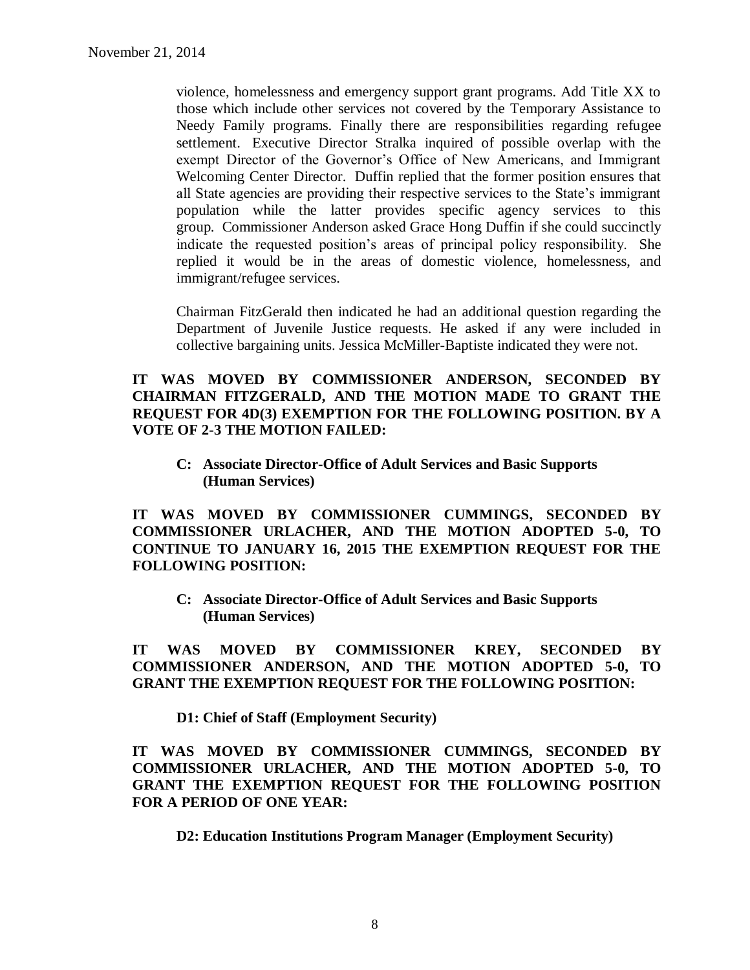violence, homelessness and emergency support grant programs. Add Title XX to those which include other services not covered by the Temporary Assistance to Needy Family programs. Finally there are responsibilities regarding refugee settlement. Executive Director Stralka inquired of possible overlap with the exempt Director of the Governor's Office of New Americans, and Immigrant Welcoming Center Director. Duffin replied that the former position ensures that all State agencies are providing their respective services to the State's immigrant population while the latter provides specific agency services to this group. Commissioner Anderson asked Grace Hong Duffin if she could succinctly indicate the requested position's areas of principal policy responsibility. She replied it would be in the areas of domestic violence, homelessness, and immigrant/refugee services.

Chairman FitzGerald then indicated he had an additional question regarding the Department of Juvenile Justice requests. He asked if any were included in collective bargaining units. Jessica McMiller-Baptiste indicated they were not.

#### **IT WAS MOVED BY COMMISSIONER ANDERSON, SECONDED BY CHAIRMAN FITZGERALD, AND THE MOTION MADE TO GRANT THE REQUEST FOR 4D(3) EXEMPTION FOR THE FOLLOWING POSITION. BY A VOTE OF 2-3 THE MOTION FAILED:**

**C: Associate Director-Office of Adult Services and Basic Supports (Human Services)**

**IT WAS MOVED BY COMMISSIONER CUMMINGS, SECONDED BY COMMISSIONER URLACHER, AND THE MOTION ADOPTED 5-0, TO CONTINUE TO JANUARY 16, 2015 THE EXEMPTION REQUEST FOR THE FOLLOWING POSITION:**

**C: Associate Director-Office of Adult Services and Basic Supports (Human Services)**

**IT WAS MOVED BY COMMISSIONER KREY, SECONDED BY COMMISSIONER ANDERSON, AND THE MOTION ADOPTED 5-0, TO GRANT THE EXEMPTION REQUEST FOR THE FOLLOWING POSITION:**

**D1: Chief of Staff (Employment Security)**

**IT WAS MOVED BY COMMISSIONER CUMMINGS, SECONDED BY COMMISSIONER URLACHER, AND THE MOTION ADOPTED 5-0, TO GRANT THE EXEMPTION REQUEST FOR THE FOLLOWING POSITION FOR A PERIOD OF ONE YEAR:**

**D2: Education Institutions Program Manager (Employment Security)**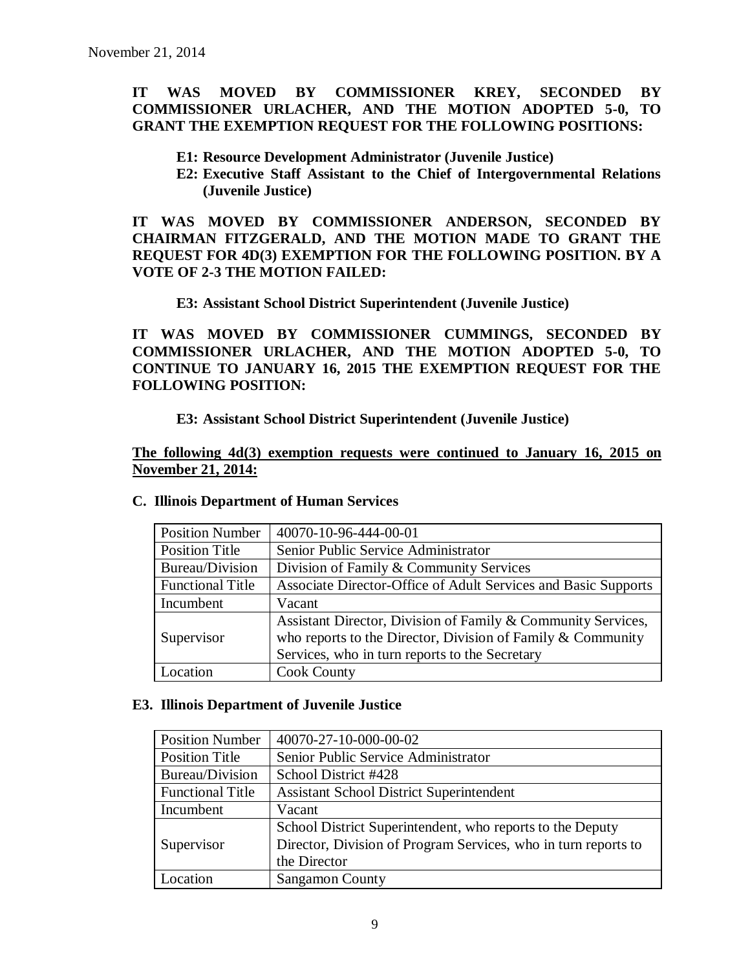### **IT WAS MOVED BY COMMISSIONER KREY, SECONDED BY COMMISSIONER URLACHER, AND THE MOTION ADOPTED 5-0, TO GRANT THE EXEMPTION REQUEST FOR THE FOLLOWING POSITIONS:**

- **E1: Resource Development Administrator (Juvenile Justice)**
- **E2: Executive Staff Assistant to the Chief of Intergovernmental Relations (Juvenile Justice)**

**IT WAS MOVED BY COMMISSIONER ANDERSON, SECONDED BY CHAIRMAN FITZGERALD, AND THE MOTION MADE TO GRANT THE REQUEST FOR 4D(3) EXEMPTION FOR THE FOLLOWING POSITION. BY A VOTE OF 2-3 THE MOTION FAILED:**

**E3: Assistant School District Superintendent (Juvenile Justice)**

**IT WAS MOVED BY COMMISSIONER CUMMINGS, SECONDED BY COMMISSIONER URLACHER, AND THE MOTION ADOPTED 5-0, TO CONTINUE TO JANUARY 16, 2015 THE EXEMPTION REQUEST FOR THE FOLLOWING POSITION:**

### **E3: Assistant School District Superintendent (Juvenile Justice)**

**The following 4d(3) exemption requests were continued to January 16, 2015 on November 21, 2014:**

| <b>Position Number</b>  | 40070-10-96-444-00-01                                          |
|-------------------------|----------------------------------------------------------------|
| <b>Position Title</b>   | Senior Public Service Administrator                            |
| Bureau/Division         | Division of Family & Community Services                        |
| <b>Functional Title</b> | Associate Director-Office of Adult Services and Basic Supports |
| Incumbent               | Vacant                                                         |
|                         | Assistant Director, Division of Family & Community Services,   |
| Supervisor              | who reports to the Director, Division of Family $&$ Community  |
|                         | Services, who in turn reports to the Secretary                 |
| Location                | <b>Cook County</b>                                             |

#### **C. Illinois Department of Human Services**

#### **E3. Illinois Department of Juvenile Justice**

| <b>Position Number</b>  | 40070-27-10-000-00-02                                          |
|-------------------------|----------------------------------------------------------------|
| <b>Position Title</b>   | Senior Public Service Administrator                            |
| Bureau/Division         | School District #428                                           |
| <b>Functional Title</b> | <b>Assistant School District Superintendent</b>                |
| Incumbent               | Vacant                                                         |
|                         | School District Superintendent, who reports to the Deputy      |
| Supervisor              | Director, Division of Program Services, who in turn reports to |
|                         | the Director                                                   |
| .ocation                | <b>Sangamon County</b>                                         |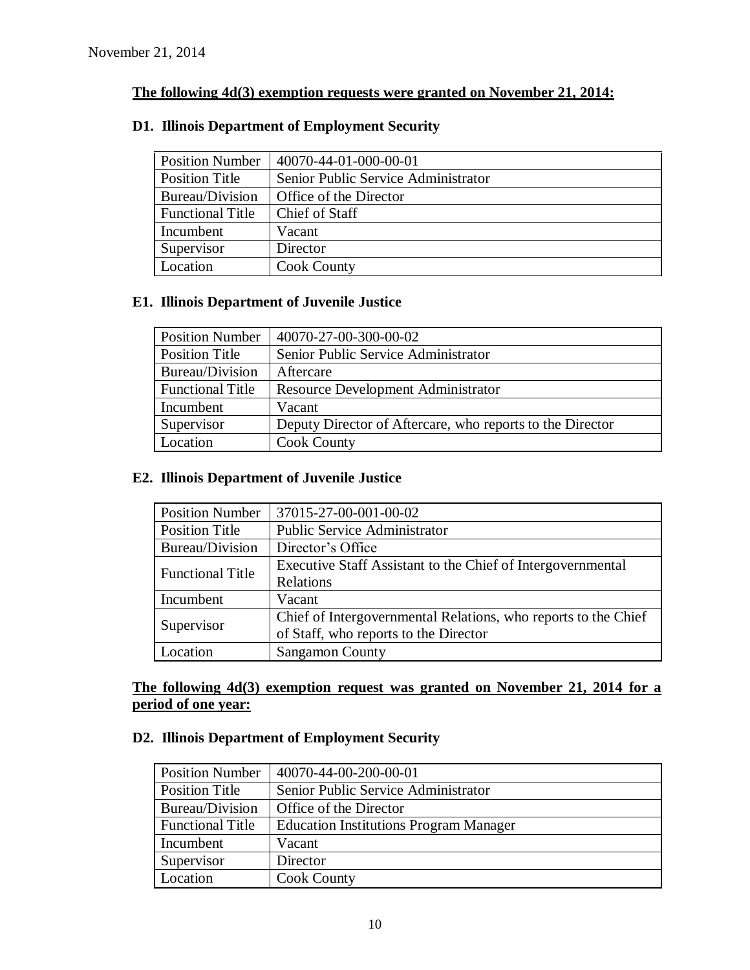### **The following 4d(3) exemption requests were granted on November 21, 2014:**

| <b>Position Number</b>  | 40070-44-01-000-00-01               |
|-------------------------|-------------------------------------|
| <b>Position Title</b>   | Senior Public Service Administrator |
| Bureau/Division         | Office of the Director              |
| <b>Functional Title</b> | Chief of Staff                      |
| Incumbent               | Vacant                              |
| Supervisor              | Director                            |
| Location                | <b>Cook County</b>                  |

### **D1. Illinois Department of Employment Security**

### **E1. Illinois Department of Juvenile Justice**

| <b>Position Number</b>  | 40070-27-00-300-00-02                                     |
|-------------------------|-----------------------------------------------------------|
| <b>Position Title</b>   | Senior Public Service Administrator                       |
| Bureau/Division         | Aftercare                                                 |
| <b>Functional Title</b> | <b>Resource Development Administrator</b>                 |
| Incumbent               | Vacant                                                    |
| Supervisor              | Deputy Director of Aftercare, who reports to the Director |
| Location                | <b>Cook County</b>                                        |

### **E2. Illinois Department of Juvenile Justice**

| <b>Position Number</b>  | 37015-27-00-001-00-02                                          |
|-------------------------|----------------------------------------------------------------|
| <b>Position Title</b>   | <b>Public Service Administrator</b>                            |
| <b>Bureau/Division</b>  | Director's Office                                              |
| <b>Functional Title</b> | Executive Staff Assistant to the Chief of Intergovernmental    |
|                         | Relations                                                      |
| Incumbent               | Vacant                                                         |
| Supervisor              | Chief of Intergovernmental Relations, who reports to the Chief |
|                         | of Staff, who reports to the Director                          |
| Location                | <b>Sangamon County</b>                                         |

### **The following 4d(3) exemption request was granted on November 21, 2014 for a period of one year:**

### **D2. Illinois Department of Employment Security**

| <b>Position Number</b>  | 40070-44-00-200-00-01                         |
|-------------------------|-----------------------------------------------|
| <b>Position Title</b>   | Senior Public Service Administrator           |
| Bureau/Division         | Office of the Director                        |
| <b>Functional Title</b> | <b>Education Institutions Program Manager</b> |
| Incumbent               | Vacant                                        |
| Supervisor              | Director                                      |
| Location                | <b>Cook County</b>                            |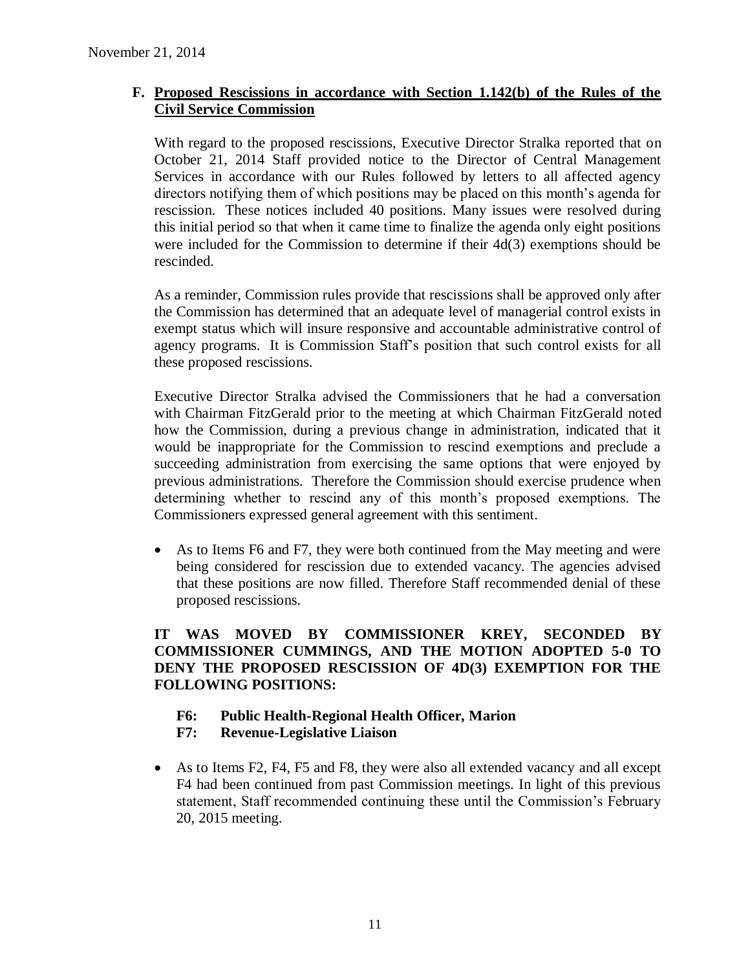### **F. Proposed Rescissions in accordance with Section 1.142(b) of the Rules of the Civil Service Commission**

With regard to the proposed rescissions, Executive Director Stralka reported that on October 21, 2014 Staff provided notice to the Director of Central Management Services in accordance with our Rules followed by letters to all affected agency directors notifying them of which positions may be placed on this month's agenda for rescission. These notices included 40 positions. Many issues were resolved during this initial period so that when it came time to finalize the agenda only eight positions were included for the Commission to determine if their 4d(3) exemptions should be rescinded.

As a reminder, Commission rules provide that rescissions shall be approved only after the Commission has determined that an adequate level of managerial control exists in exempt status which will insure responsive and accountable administrative control of agency programs. It is Commission Staff's position that such control exists for all these proposed rescissions.

Executive Director Stralka advised the Commissioners that he had a conversation with Chairman FitzGerald prior to the meeting at which Chairman FitzGerald noted how the Commission, during a previous change in administration, indicated that it would be inappropriate for the Commission to rescind exemptions and preclude a succeeding administration from exercising the same options that were enjoyed by previous administrations. Therefore the Commission should exercise prudence when determining whether to rescind any of this month's proposed exemptions. The Commissioners expressed general agreement with this sentiment.

 As to Items F6 and F7, they were both continued from the May meeting and were being considered for rescission due to extended vacancy. The agencies advised that these positions are now filled. Therefore Staff recommended denial of these proposed rescissions.

### **IT WAS MOVED BY COMMISSIONER KREY, SECONDED BY COMMISSIONER CUMMINGS, AND THE MOTION ADOPTED 5-0 TO DENY THE PROPOSED RESCISSION OF 4D(3) EXEMPTION FOR THE FOLLOWING POSITIONS:**

### **F6: Public Health-Regional Health Officer, Marion**

### **F7: Revenue-Legislative Liaison**

 As to Items F2, F4, F5 and F8, they were also all extended vacancy and all except F4 had been continued from past Commission meetings. In light of this previous statement, Staff recommended continuing these until the Commission's February 20, 2015 meeting.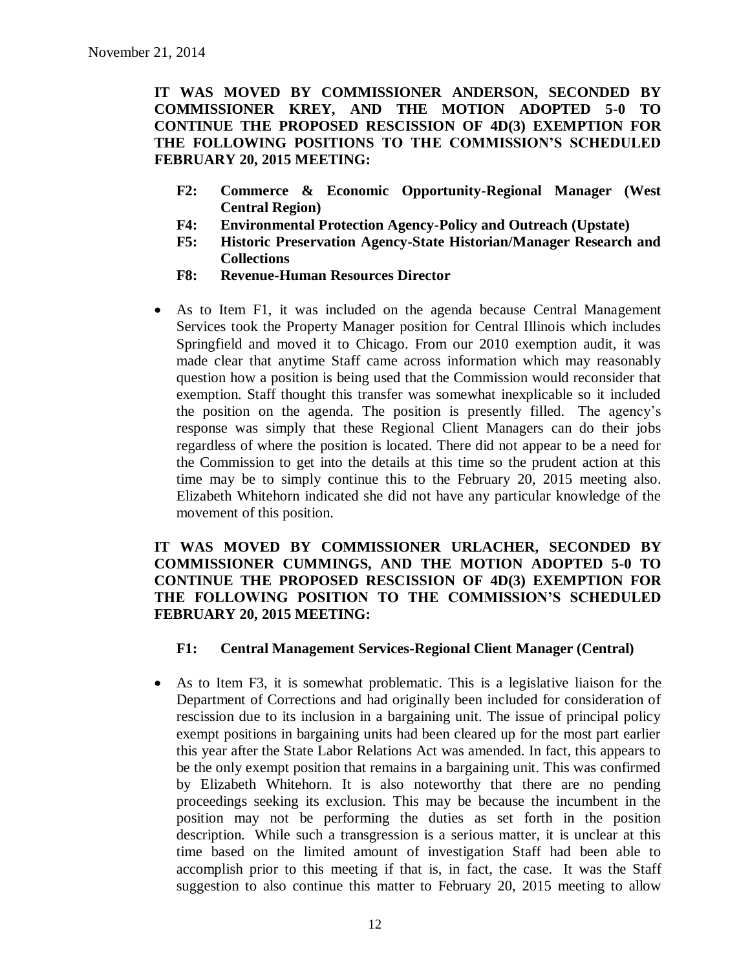**IT WAS MOVED BY COMMISSIONER ANDERSON, SECONDED BY COMMISSIONER KREY, AND THE MOTION ADOPTED 5-0 TO CONTINUE THE PROPOSED RESCISSION OF 4D(3) EXEMPTION FOR THE FOLLOWING POSITIONS TO THE COMMISSION'S SCHEDULED FEBRUARY 20, 2015 MEETING:**

- **F2: Commerce & Economic Opportunity-Regional Manager (West Central Region)**
- **F4: Environmental Protection Agency-Policy and Outreach (Upstate)**
- **F5: Historic Preservation Agency-State Historian/Manager Research and Collections**
- **F8: Revenue-Human Resources Director**
- As to Item F1, it was included on the agenda because Central Management Services took the Property Manager position for Central Illinois which includes Springfield and moved it to Chicago. From our 2010 exemption audit, it was made clear that anytime Staff came across information which may reasonably question how a position is being used that the Commission would reconsider that exemption. Staff thought this transfer was somewhat inexplicable so it included the position on the agenda. The position is presently filled. The agency's response was simply that these Regional Client Managers can do their jobs regardless of where the position is located. There did not appear to be a need for the Commission to get into the details at this time so the prudent action at this time may be to simply continue this to the February 20, 2015 meeting also. Elizabeth Whitehorn indicated she did not have any particular knowledge of the movement of this position.

### **IT WAS MOVED BY COMMISSIONER URLACHER, SECONDED BY COMMISSIONER CUMMINGS, AND THE MOTION ADOPTED 5-0 TO CONTINUE THE PROPOSED RESCISSION OF 4D(3) EXEMPTION FOR THE FOLLOWING POSITION TO THE COMMISSION'S SCHEDULED FEBRUARY 20, 2015 MEETING:**

#### **F1: Central Management Services-Regional Client Manager (Central)**

 As to Item F3, it is somewhat problematic. This is a legislative liaison for the Department of Corrections and had originally been included for consideration of rescission due to its inclusion in a bargaining unit. The issue of principal policy exempt positions in bargaining units had been cleared up for the most part earlier this year after the State Labor Relations Act was amended. In fact, this appears to be the only exempt position that remains in a bargaining unit. This was confirmed by Elizabeth Whitehorn. It is also noteworthy that there are no pending proceedings seeking its exclusion. This may be because the incumbent in the position may not be performing the duties as set forth in the position description. While such a transgression is a serious matter, it is unclear at this time based on the limited amount of investigation Staff had been able to accomplish prior to this meeting if that is, in fact, the case. It was the Staff suggestion to also continue this matter to February 20, 2015 meeting to allow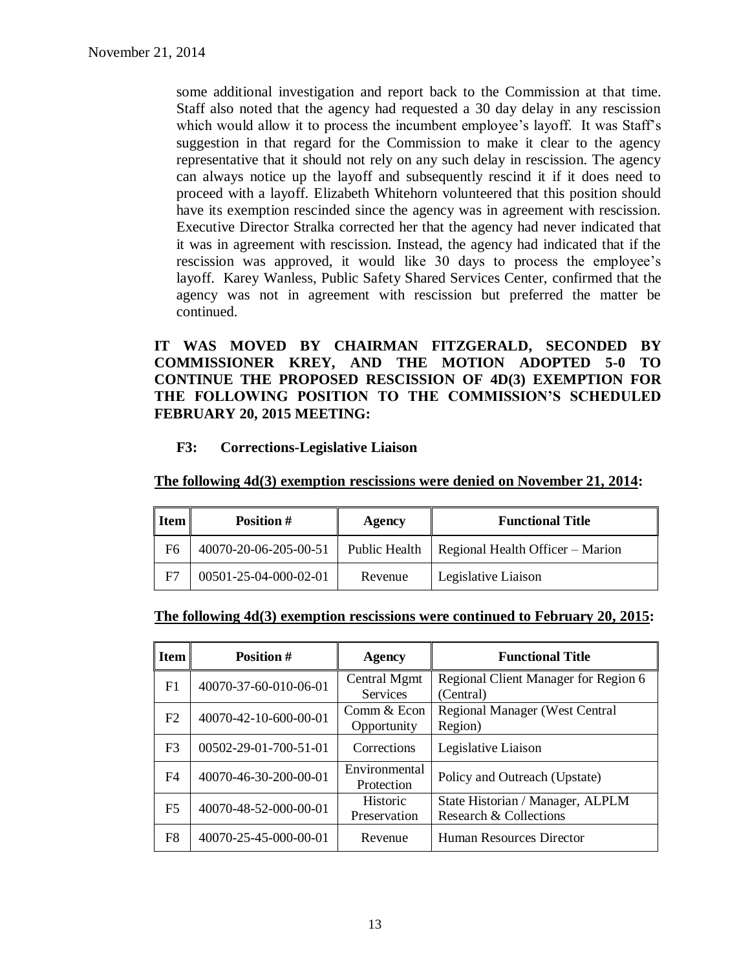some additional investigation and report back to the Commission at that time. Staff also noted that the agency had requested a 30 day delay in any rescission which would allow it to process the incumbent employee's layoff. It was Staff's suggestion in that regard for the Commission to make it clear to the agency representative that it should not rely on any such delay in rescission. The agency can always notice up the layoff and subsequently rescind it if it does need to proceed with a layoff. Elizabeth Whitehorn volunteered that this position should have its exemption rescinded since the agency was in agreement with rescission. Executive Director Stralka corrected her that the agency had never indicated that it was in agreement with rescission. Instead, the agency had indicated that if the rescission was approved, it would like 30 days to process the employee's layoff. Karey Wanless, Public Safety Shared Services Center, confirmed that the agency was not in agreement with rescission but preferred the matter be continued.

**IT WAS MOVED BY CHAIRMAN FITZGERALD, SECONDED BY COMMISSIONER KREY, AND THE MOTION ADOPTED 5-0 TO CONTINUE THE PROPOSED RESCISSION OF 4D(3) EXEMPTION FOR THE FOLLOWING POSITION TO THE COMMISSION'S SCHEDULED FEBRUARY 20, 2015 MEETING:**

**F3: Corrections-Legislative Liaison**

| Item | <b>Position #</b>     | Agency        | <b>Functional Title</b>          |
|------|-----------------------|---------------|----------------------------------|
| F6   | 40070-20-06-205-00-51 | Public Health | Regional Health Officer – Marion |
| F7   | 00501-25-04-000-02-01 | Revenue       | Legislative Liaison              |

**The following 4d(3) exemption rescissions were denied on November 21, 2014:**

|  | The following 4d(3) exemption rescissions were continued to February 20, 2015: |  |
|--|--------------------------------------------------------------------------------|--|
|  |                                                                                |  |

| <b>Item</b>    | Position #            | <b>Agency</b>                   | <b>Functional Title</b>                                    |  |
|----------------|-----------------------|---------------------------------|------------------------------------------------------------|--|
| F1             | 40070-37-60-010-06-01 | Central Mgmt<br><b>Services</b> | Regional Client Manager for Region 6<br>(Central)          |  |
| F <sub>2</sub> | 40070-42-10-600-00-01 | Comm & Econ<br>Opportunity      | <b>Regional Manager (West Central</b><br>Region)           |  |
| F <sub>3</sub> | 00502-29-01-700-51-01 | Corrections                     | Legislative Liaison                                        |  |
| F4             | 40070-46-30-200-00-01 | Environmental<br>Protection     | Policy and Outreach (Upstate)                              |  |
| F <sub>5</sub> | 40070-48-52-000-00-01 | Historic<br>Preservation        | State Historian / Manager, ALPLM<br>Research & Collections |  |
| F8             | 40070-25-45-000-00-01 | Revenue                         | <b>Human Resources Director</b>                            |  |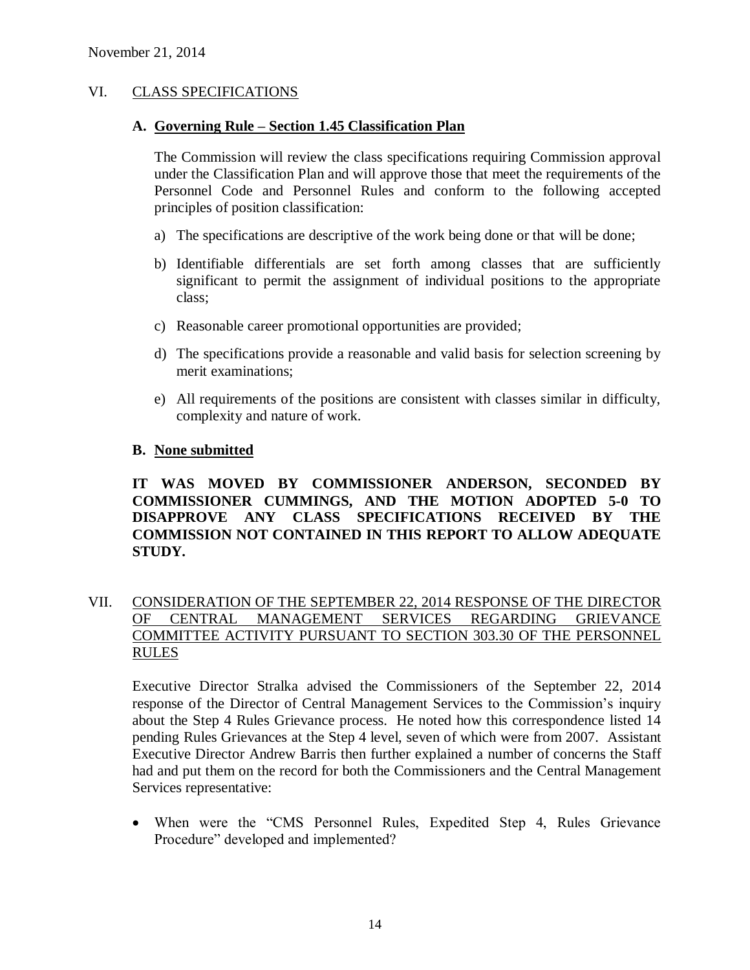### VI. CLASS SPECIFICATIONS

#### **A. Governing Rule – Section 1.45 Classification Plan**

The Commission will review the class specifications requiring Commission approval under the Classification Plan and will approve those that meet the requirements of the Personnel Code and Personnel Rules and conform to the following accepted principles of position classification:

- a) The specifications are descriptive of the work being done or that will be done;
- b) Identifiable differentials are set forth among classes that are sufficiently significant to permit the assignment of individual positions to the appropriate class;
- c) Reasonable career promotional opportunities are provided;
- d) The specifications provide a reasonable and valid basis for selection screening by merit examinations;
- e) All requirements of the positions are consistent with classes similar in difficulty, complexity and nature of work.

#### **B. None submitted**

**IT WAS MOVED BY COMMISSIONER ANDERSON, SECONDED BY COMMISSIONER CUMMINGS, AND THE MOTION ADOPTED 5-0 TO DISAPPROVE ANY CLASS SPECIFICATIONS RECEIVED BY THE COMMISSION NOT CONTAINED IN THIS REPORT TO ALLOW ADEQUATE STUDY.** 

### VII. CONSIDERATION OF THE SEPTEMBER 22, 2014 RESPONSE OF THE DIRECTOR OF CENTRAL MANAGEMENT SERVICES REGARDING GRIEVANCE COMMITTEE ACTIVITY PURSUANT TO SECTION 303.30 OF THE PERSONNEL RULES

Executive Director Stralka advised the Commissioners of the September 22, 2014 response of the Director of Central Management Services to the Commission's inquiry about the Step 4 Rules Grievance process. He noted how this correspondence listed 14 pending Rules Grievances at the Step 4 level, seven of which were from 2007. Assistant Executive Director Andrew Barris then further explained a number of concerns the Staff had and put them on the record for both the Commissioners and the Central Management Services representative:

 When were the "CMS Personnel Rules, Expedited Step 4, Rules Grievance Procedure" developed and implemented?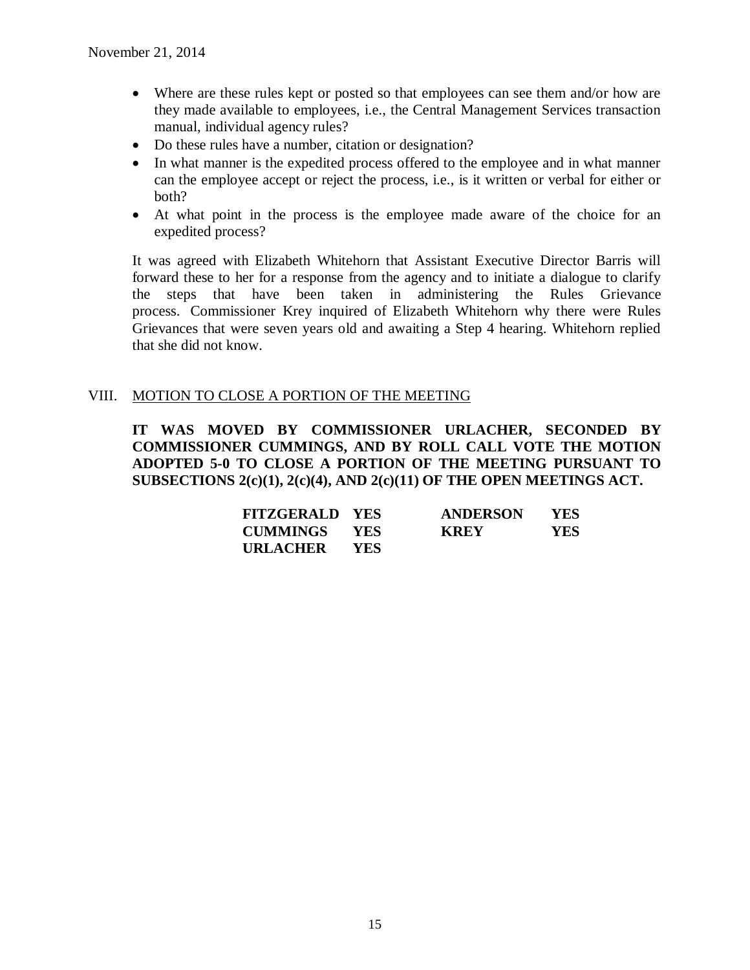- Where are these rules kept or posted so that employees can see them and/or how are they made available to employees, i.e., the Central Management Services transaction manual, individual agency rules?
- Do these rules have a number, citation or designation?
- In what manner is the expedited process offered to the employee and in what manner can the employee accept or reject the process, i.e., is it written or verbal for either or both?
- At what point in the process is the employee made aware of the choice for an expedited process?

It was agreed with Elizabeth Whitehorn that Assistant Executive Director Barris will forward these to her for a response from the agency and to initiate a dialogue to clarify the steps that have been taken in administering the Rules Grievance process. Commissioner Krey inquired of Elizabeth Whitehorn why there were Rules Grievances that were seven years old and awaiting a Step 4 hearing. Whitehorn replied that she did not know.

### VIII. MOTION TO CLOSE A PORTION OF THE MEETING

**IT WAS MOVED BY COMMISSIONER URLACHER, SECONDED BY COMMISSIONER CUMMINGS, AND BY ROLL CALL VOTE THE MOTION ADOPTED 5-0 TO CLOSE A PORTION OF THE MEETING PURSUANT TO SUBSECTIONS 2(c)(1), 2(c)(4), AND 2(c)(11) OF THE OPEN MEETINGS ACT.**

| <b>FITZGERALD YES</b> |            | <b>ANDERSON</b> | <b>YES</b> |
|-----------------------|------------|-----------------|------------|
| CUMMINGS YES          |            | <b>KREY</b>     | YES.       |
| URLACHER              | <b>YES</b> |                 |            |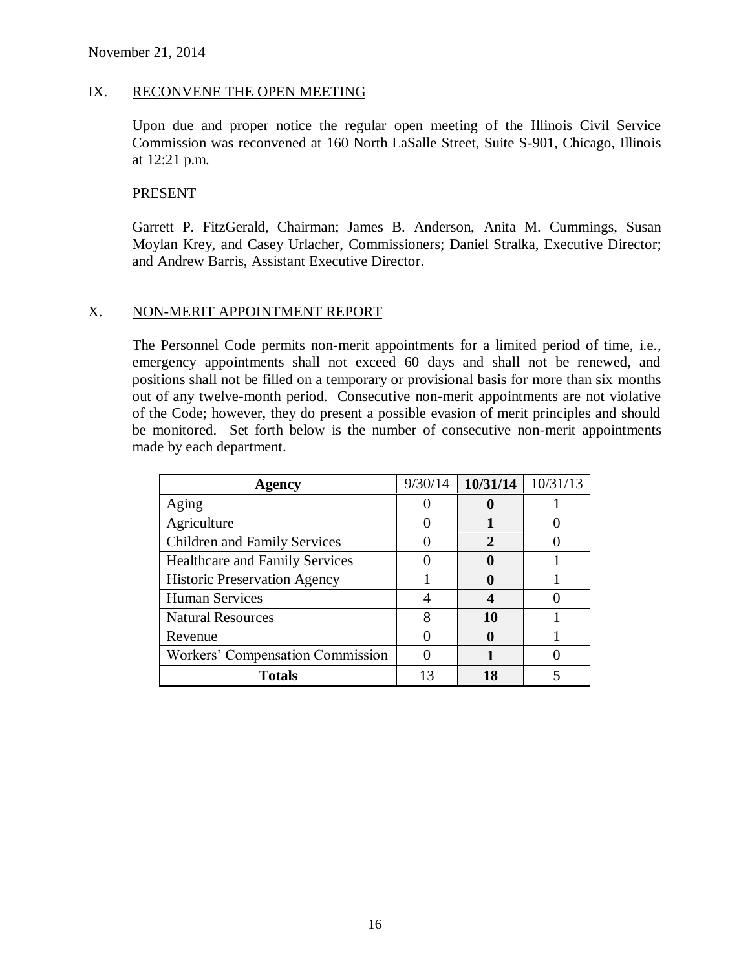#### IX. RECONVENE THE OPEN MEETING

Upon due and proper notice the regular open meeting of the Illinois Civil Service Commission was reconvened at 160 North LaSalle Street, Suite S-901, Chicago, Illinois at 12:21 p.m.

#### **PRESENT**

Garrett P. FitzGerald, Chairman; James B. Anderson, Anita M. Cummings, Susan Moylan Krey, and Casey Urlacher, Commissioners; Daniel Stralka, Executive Director; and Andrew Barris, Assistant Executive Director.

#### X. NON-MERIT APPOINTMENT REPORT

The Personnel Code permits non-merit appointments for a limited period of time, i.e., emergency appointments shall not exceed 60 days and shall not be renewed, and positions shall not be filled on a temporary or provisional basis for more than six months out of any twelve-month period. Consecutive non-merit appointments are not violative of the Code; however, they do present a possible evasion of merit principles and should be monitored. Set forth below is the number of consecutive non-merit appointments made by each department.

| Agency                                | 9/30/14 | 10/31/14 | 10/31/13 |
|---------------------------------------|---------|----------|----------|
| Aging                                 |         |          |          |
| Agriculture                           |         |          |          |
| <b>Children and Family Services</b>   |         |          |          |
| <b>Healthcare and Family Services</b> |         |          |          |
| <b>Historic Preservation Agency</b>   |         |          |          |
| <b>Human Services</b>                 |         |          |          |
| <b>Natural Resources</b>              | 8       | 10       |          |
| Revenue                               |         |          |          |
| Workers' Compensation Commission      |         |          |          |
| <b>Totals</b>                         | 13      | 18       |          |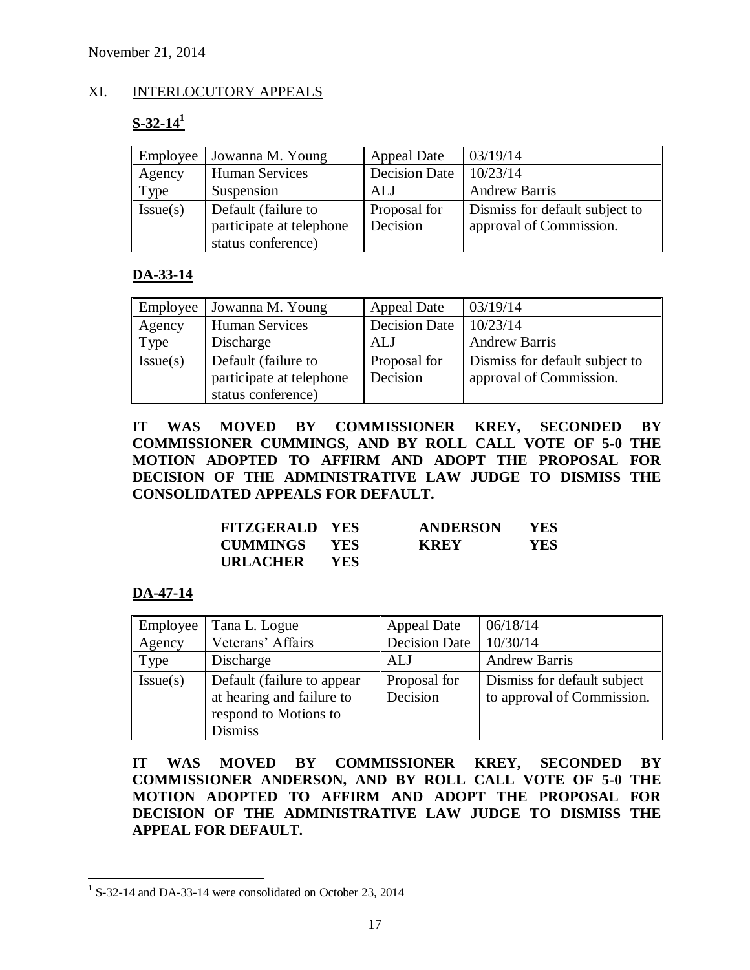### XI. INTERLOCUTORY APPEALS

## **S-32-14<sup>1</sup>**

| Employee | Jowanna M. Young                                                      | <b>Appeal Date</b>              | 03/19/14                                                  |
|----------|-----------------------------------------------------------------------|---------------------------------|-----------------------------------------------------------|
| Agency   | Human Services                                                        | <b>Decision Date</b>            | 10/23/14                                                  |
| Type     | Suspension                                                            | ALJ                             | <b>Andrew Barris</b>                                      |
| Issue(s) | Default (failure to<br>participate at telephone<br>status conference) | <b>Proposal</b> for<br>Decision | Dismiss for default subject to<br>approval of Commission. |

### **DA-33-14**

| Employee | Jowanna M. Young         | <b>Appeal Date</b>   | 03/19/14                       |
|----------|--------------------------|----------------------|--------------------------------|
| Agency   | Human Services           | <b>Decision Date</b> | 10/23/14                       |
| Type     | Discharge                | ALJ                  | <b>Andrew Barris</b>           |
| Issue(s) | Default (failure to      | Proposal for         | Dismiss for default subject to |
|          | participate at telephone | Decision             | approval of Commission.        |
|          | status conference)       |                      |                                |

**IT WAS MOVED BY COMMISSIONER KREY, SECONDED BY COMMISSIONER CUMMINGS, AND BY ROLL CALL VOTE OF 5-0 THE MOTION ADOPTED TO AFFIRM AND ADOPT THE PROPOSAL FOR DECISION OF THE ADMINISTRATIVE LAW JUDGE TO DISMISS THE CONSOLIDATED APPEALS FOR DEFAULT.**

| <b>FITZGERALD YES</b> |            | <b>ANDERSON</b> | <b>YES</b> |
|-----------------------|------------|-----------------|------------|
| <b>CUMMINGS YES</b>   |            | <b>KREY</b>     | YES        |
| URLACHER              | <b>YES</b> |                 |            |

### **DA-47-14**

| Employee | Tana L. Logue                                                                                       | Appeal Date              | 06/18/14                                                  |
|----------|-----------------------------------------------------------------------------------------------------|--------------------------|-----------------------------------------------------------|
| Agency   | Veterans' Affairs                                                                                   | <b>Decision Date</b>     | 10/30/14                                                  |
| Type     | Discharge                                                                                           | ALJ                      | <b>Andrew Barris</b>                                      |
| Issue(s) | Default (failure to appear)<br>at hearing and failure to<br>respond to Motions to<br><b>Dismiss</b> | Proposal for<br>Decision | Dismiss for default subject<br>to approval of Commission. |

**IT WAS MOVED BY COMMISSIONER KREY, SECONDED BY COMMISSIONER ANDERSON, AND BY ROLL CALL VOTE OF 5-0 THE MOTION ADOPTED TO AFFIRM AND ADOPT THE PROPOSAL FOR DECISION OF THE ADMINISTRATIVE LAW JUDGE TO DISMISS THE APPEAL FOR DEFAULT.**

 $\overline{a}$ <sup>1</sup> S-32-14 and DA-33-14 were consolidated on October 23, 2014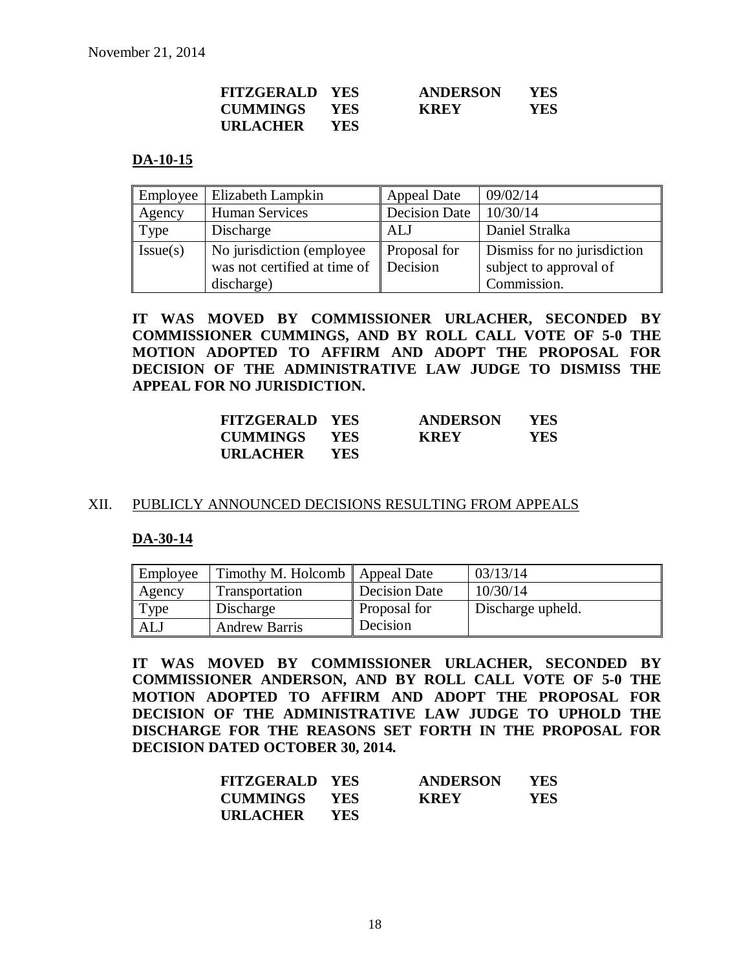| <b>FITZGERALD YES</b> |            | <b>ANDERSON</b> | YES.       |
|-----------------------|------------|-----------------|------------|
| CUMMINGS YES          |            | <b>KREY</b>     | <b>YES</b> |
| URLACHER              | <b>YES</b> |                 |            |

#### **DA-10-15**

|          | <b>Employee</b>   Elizabeth Lampkin               | <b>Appeal Date</b>   | 09/02/14                    |
|----------|---------------------------------------------------|----------------------|-----------------------------|
| Agency   | <b>Human Services</b>                             | <b>Decision Date</b> | 10/30/14                    |
| Type     | Discharge                                         | ALJ                  | Daniel Stralka              |
| Issue(s) | No jurisdiction (employee)                        | <b>Proposal</b> for  | Dismiss for no jurisdiction |
|          | was not certified at time of $\parallel$ Decision |                      | subject to approval of      |
|          | discharge)                                        |                      | Commission.                 |

**IT WAS MOVED BY COMMISSIONER URLACHER, SECONDED BY COMMISSIONER CUMMINGS, AND BY ROLL CALL VOTE OF 5-0 THE MOTION ADOPTED TO AFFIRM AND ADOPT THE PROPOSAL FOR DECISION OF THE ADMINISTRATIVE LAW JUDGE TO DISMISS THE APPEAL FOR NO JURISDICTION.**

| <b>FITZGERALD YES</b> |            | <b>ANDERSON</b> | YES |
|-----------------------|------------|-----------------|-----|
| <b>CUMMINGS</b>       | - YES      | <b>KREY</b>     | YES |
| URLACHER              | <b>YES</b> |                 |     |

#### XII. PUBLICLY ANNOUNCED DECISIONS RESULTING FROM APPEALS

#### **DA-30-14**

| Employee   | Timothy M. Holcomb   Appeal Date |                     | 03/13/14          |
|------------|----------------------------------|---------------------|-------------------|
| Agency     | Transportation                   | Decision Date       | 10/30/14          |
| Type       | Discharge                        | <b>Proposal for</b> | Discharge upheld. |
| <b>ALJ</b> | <b>Andrew Barris</b>             | Decision            |                   |

**IT WAS MOVED BY COMMISSIONER URLACHER, SECONDED BY COMMISSIONER ANDERSON, AND BY ROLL CALL VOTE OF 5-0 THE MOTION ADOPTED TO AFFIRM AND ADOPT THE PROPOSAL FOR DECISION OF THE ADMINISTRATIVE LAW JUDGE TO UPHOLD THE DISCHARGE FOR THE REASONS SET FORTH IN THE PROPOSAL FOR DECISION DATED OCTOBER 30, 2014.**

| <b>FITZGERALD YES</b> |            | <b>ANDERSON</b> | <b>YES</b> |
|-----------------------|------------|-----------------|------------|
| <b>CUMMINGS</b>       | <b>YES</b> | <b>KREY</b>     | <b>YES</b> |
| <b>URLACHER</b>       | <b>YES</b> |                 |            |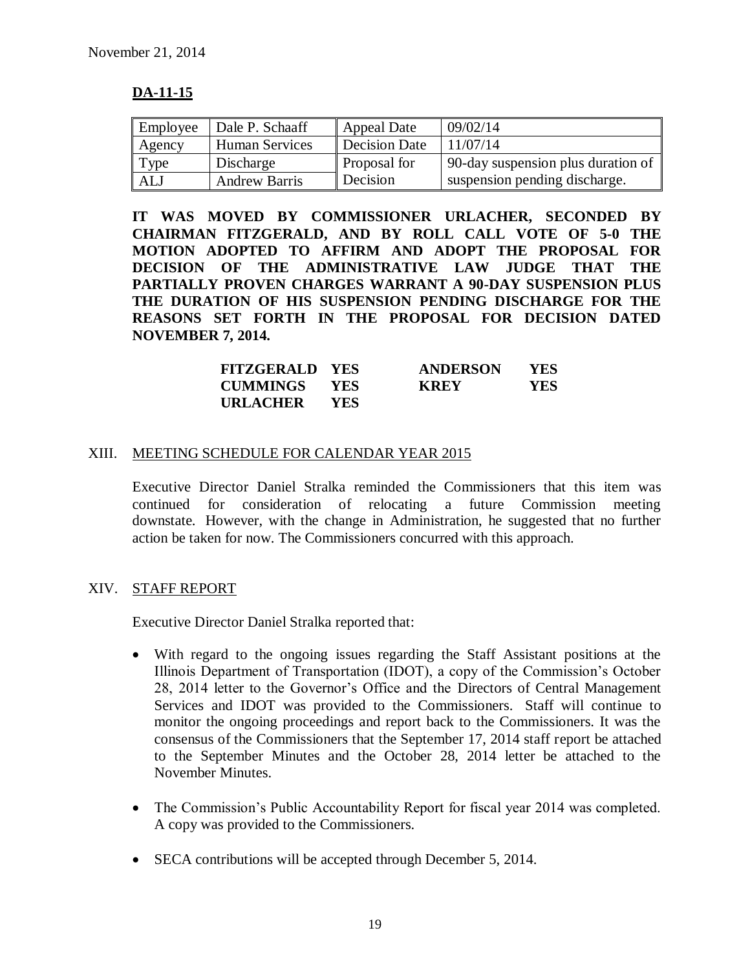### **DA-11-15**

| Employee | Dale P. Schaaff       | Appeal Date         | 09/02/14                           |
|----------|-----------------------|---------------------|------------------------------------|
| Agency   | <b>Human Services</b> | Decision Date       | 11/07/14                           |
| Type     | Discharge             | <b>Proposal</b> for | 90-day suspension plus duration of |
| ALJ      | <b>Andrew Barris</b>  | Decision            | suspension pending discharge.      |

**IT WAS MOVED BY COMMISSIONER URLACHER, SECONDED BY CHAIRMAN FITZGERALD, AND BY ROLL CALL VOTE OF 5-0 THE MOTION ADOPTED TO AFFIRM AND ADOPT THE PROPOSAL FOR DECISION OF THE ADMINISTRATIVE LAW JUDGE THAT THE PARTIALLY PROVEN CHARGES WARRANT A 90-DAY SUSPENSION PLUS THE DURATION OF HIS SUSPENSION PENDING DISCHARGE FOR THE REASONS SET FORTH IN THE PROPOSAL FOR DECISION DATED NOVEMBER 7, 2014.**

| <b>FITZGERALD YES</b> |            | <b>ANDERSON</b> | YES |
|-----------------------|------------|-----------------|-----|
| <b>CUMMINGS</b>       | <b>YES</b> | <b>KREY</b>     | YES |
| URLACHER              | YES.       |                 |     |

#### XIII. MEETING SCHEDULE FOR CALENDAR YEAR 2015

Executive Director Daniel Stralka reminded the Commissioners that this item was continued for consideration of relocating a future Commission meeting downstate. However, with the change in Administration, he suggested that no further action be taken for now. The Commissioners concurred with this approach.

#### XIV. STAFF REPORT

Executive Director Daniel Stralka reported that:

- With regard to the ongoing issues regarding the Staff Assistant positions at the Illinois Department of Transportation (IDOT), a copy of the Commission's October 28, 2014 letter to the Governor's Office and the Directors of Central Management Services and IDOT was provided to the Commissioners. Staff will continue to monitor the ongoing proceedings and report back to the Commissioners. It was the consensus of the Commissioners that the September 17, 2014 staff report be attached to the September Minutes and the October 28, 2014 letter be attached to the November Minutes.
- The Commission's Public Accountability Report for fiscal year 2014 was completed. A copy was provided to the Commissioners.
- SECA contributions will be accepted through December 5, 2014.